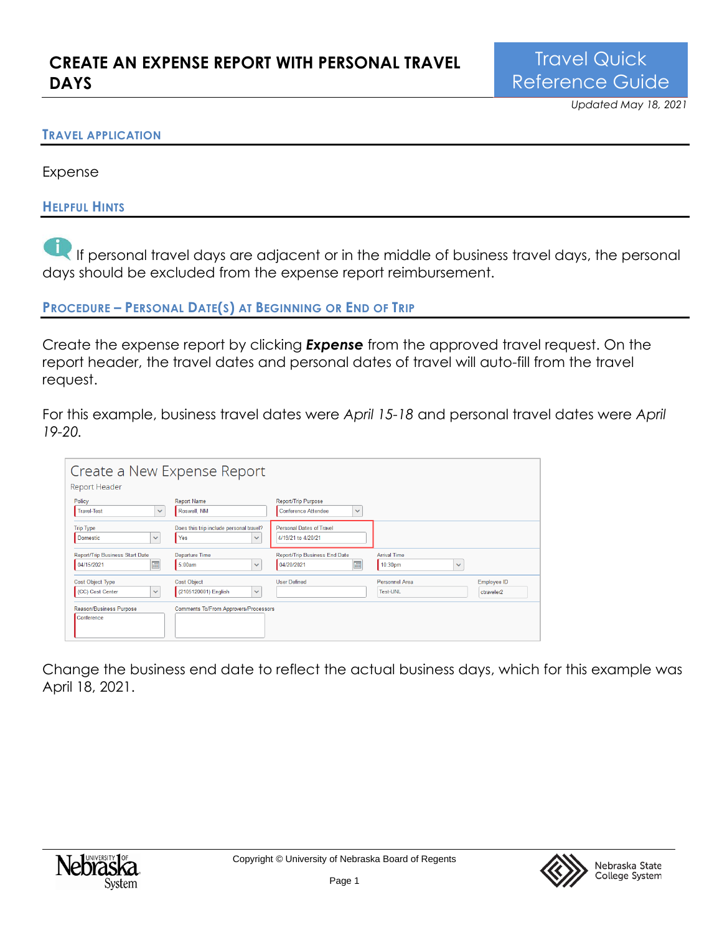### **TRAVEL APPLICATION**

Expense

### **HELPFUL HINTS**

If personal travel days are adjacent or in the middle of business travel days, the personal days should be excluded from the expense report reimbursement.

**PROCEDURE – PERSONAL DATE(S) AT BEGINNING OR END OF TRIP**

Create the expense report by clicking *Expense* from the approved travel request. On the report header, the travel dates and personal dates of travel will auto-fill from the travel request.

For this example, business travel dates were *April 15-18* and personal travel dates were *April 19-20.*

| Create a New Expense Report<br><b>Report Header</b>         |                                                                |                                                            |                                                            |                           |
|-------------------------------------------------------------|----------------------------------------------------------------|------------------------------------------------------------|------------------------------------------------------------|---------------------------|
| Policy<br><b>Travel-Test</b><br>$\checkmark$                | <b>Report Name</b><br>Roswell, NM                              | Report/Trip Purpose<br>Conference Attendee<br>$\checkmark$ |                                                            |                           |
| <b>Trip Type</b><br><b>Domestic</b><br>$\checkmark$         | Does this trip include personal travel?<br>Yes<br>$\checkmark$ | Personal Dates of Travel<br>4/19/21 to 4/20/21             |                                                            |                           |
| Report/Trip Business Start Date<br>圃<br>04/15/2021          | Departure Time<br>5:00am<br>$\checkmark$                       | Report/Trip Business End Date<br>圃<br>04/20/2021           | <b>Arrival Time</b><br>10:30 <sub>pm</sub><br>$\checkmark$ |                           |
| <b>Cost Object Type</b><br>(CC) Cost Center<br>$\checkmark$ | <b>Cost Object</b><br>(2105120001) English<br>$\checkmark$     | <b>User Defined</b>                                        | Personnel Area<br><b>Test-UNL</b>                          | Employee ID<br>ctraveler2 |
| Reason/Business Purpose<br>Conference                       | <b>Comments To/From Approvers/Processors</b>                   |                                                            |                                                            |                           |

Change the business end date to reflect the actual business days, which for this example was April 18, 2021.



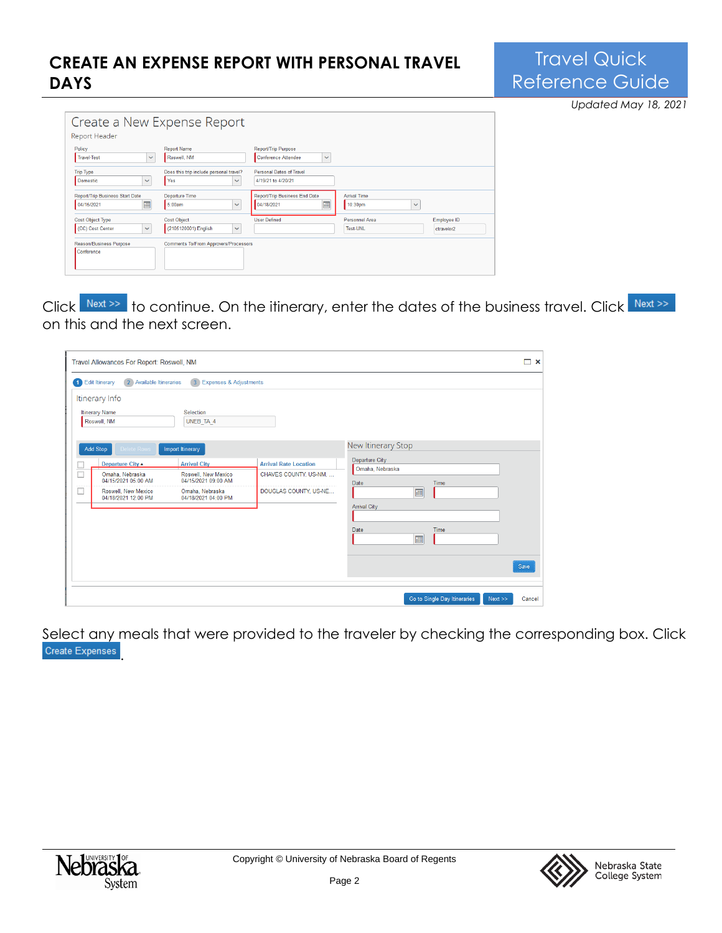## **CREATE AN EXPENSE REPORT WITH PERSONAL TRAVEL DAYS**

# Travel Quick Reference Guide

*Updated May 18, 2021*

| Create a New Expense Report<br><b>Report Header</b>         |                                                                |                                                                          |                                                |                           |
|-------------------------------------------------------------|----------------------------------------------------------------|--------------------------------------------------------------------------|------------------------------------------------|---------------------------|
| Policy<br>Travel-Test<br>$\checkmark$                       | <b>Report Name</b><br>Roswell, NM                              | <b>Report/Trip Purpose</b><br><b>Conference Attendee</b><br>$\checkmark$ |                                                |                           |
| <b>Trip Type</b><br><b>Domestic</b><br>$\checkmark$         | Does this trip include personal travel?<br>Yes<br>$\checkmark$ | Personal Dates of Travel<br>4/19/21 to 4/20/21                           |                                                |                           |
| <b>Report/Trip Business Start Date</b><br>圃<br>04/15/2021   | Departure Time<br>5:00am<br>$\checkmark$                       | Report/Trip Business End Date<br><b>Fill</b><br>04/18/2021               | <b>Arrival Time</b><br>10:30pm<br>$\checkmark$ |                           |
| <b>Cost Object Type</b><br>$\checkmark$<br>(CC) Cost Center | <b>Cost Object</b><br>(2105120001) English<br>$\checkmark$     | <b>User Defined</b>                                                      | Personnel Area<br><b>Test-UNL</b>              | Employee ID<br>ctraveler2 |
| Reason/Business Purpose<br>Conference                       | Comments To/From Approvers/Processors                          |                                                                          |                                                |                           |

Click Next<sup>>></sup> to continue. On the itinerary, enter the dates of the business travel. Click Next<sup>>></sup> on this and the next screen.

|                | Travel Allowances For Report: Roswell, NM                                                                                                      |                                                                                                             |                                                                                |                                                                          |                              |      | □ ×    |
|----------------|------------------------------------------------------------------------------------------------------------------------------------------------|-------------------------------------------------------------------------------------------------------------|--------------------------------------------------------------------------------|--------------------------------------------------------------------------|------------------------------|------|--------|
| $\blacksquare$ | Edit Itinerary<br>Available Itineraries<br>$\overline{2}$<br>Itinerary Info<br>Itinerary Name<br>Roswell, NM<br>Add Stop<br><b>Delete Rows</b> | 3 Expenses & Adjustments<br>Selection<br>UNEB_TA_4<br>Import Itinerary                                      |                                                                                | New Itinerary Stop                                                       |                              |      |        |
|                | Departure City 4<br>Omaha, Nebraska<br>04/15/2021 05:00 AM<br>Roswell, New Mexico<br>04/18/2021 12:00 PM                                       | <b>Arrival City</b><br>Roswell, New Mexico<br>04/15/2021 09:00 AM<br>Omaha, Nebraska<br>04/18/2021 04:00 PM | <b>Arrival Rate Location</b><br>CHAVES COUNTY, US-NM,<br>DOUGLAS COUNTY, US-NE | Departure City<br>Omaha, Nebraska<br>Date<br><b>Arrival City</b><br>Date | Time<br>画<br>Time<br>画       |      | Save   |
|                |                                                                                                                                                |                                                                                                             |                                                                                |                                                                          | Go to Single Day Itineraries | Next | Cancel |

Select any meals that were provided to the traveler by checking the corresponding box. Click Create Expenses



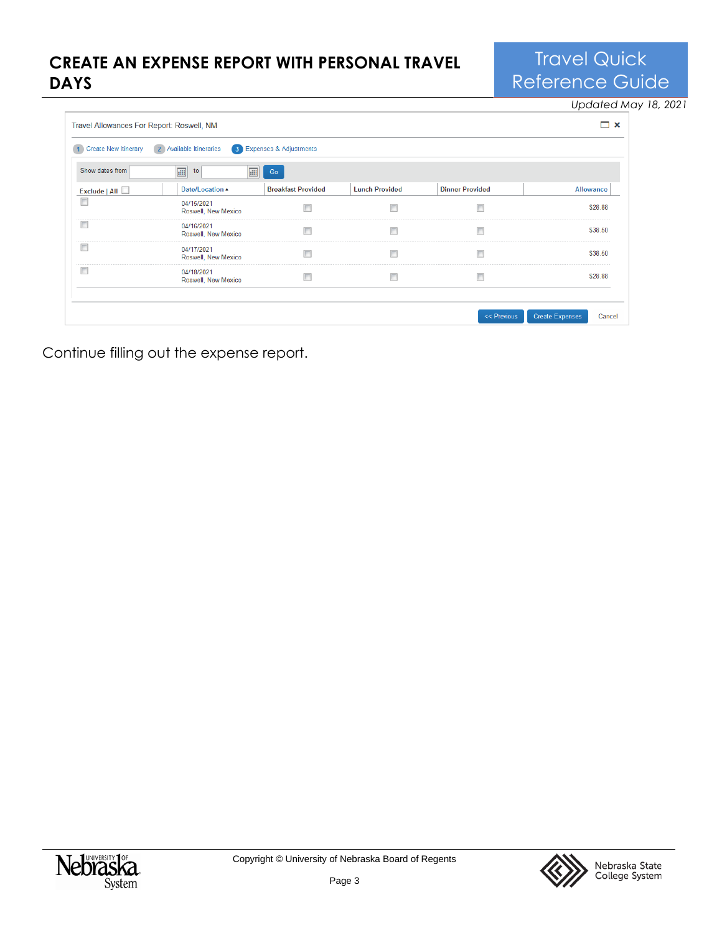## **CREATE AN EXPENSE REPORT WITH PERSONAL TRAVEL DAYS**

Travel Quick Reference Guide

*Updated May 18, 2021*

| <b>Create New Itinerary</b> | 2 Available Itineraries           | 3 Expenses & Adjustments  |                       |                        |                  |
|-----------------------------|-----------------------------------|---------------------------|-----------------------|------------------------|------------------|
| Show dates from             | 圃<br>画<br>to                      | Go                        |                       |                        |                  |
| Exclude   All $\Box$        | Date/Location A                   | <b>Breakfast Provided</b> | <b>Lunch Provided</b> | <b>Dinner Provided</b> | <b>Allowance</b> |
| $\Box$                      | 04/15/2021<br>Roswell, New Mexico |                           |                       | $\Box$                 | \$28.88          |
| $\Box$                      | 04/16/2021<br>Roswell, New Mexico |                           | Г                     | $\Box$                 | \$38.50          |
| $\Box$                      | 04/17/2021<br>Roswell, New Mexico |                           |                       | $\Box$                 | \$38.50          |
| $\Box$                      | 04/18/2021<br>Roswell, New Mexico |                           |                       | $\Box$                 | \$28.88          |

Continue filling out the expense report.